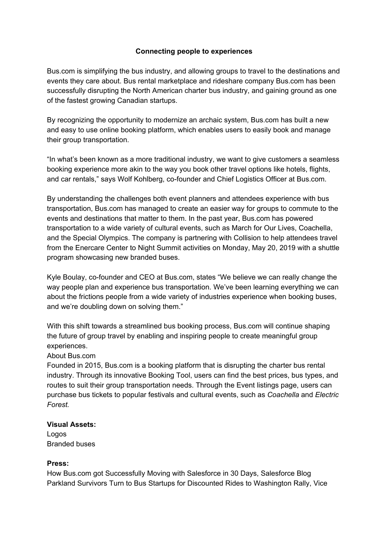## **Connecting people to experiences**

Bus.com is simplifying the bus industry, and allowing groups to travel to the destinations and events they care about. Bus rental marketplace and rideshare company Bus.com has been successfully disrupting the North American charter bus industry, and gaining ground as one of the fastest growing Canadian startups.

By recognizing the opportunity to modernize an archaic system, Bus.com has built a new and easy to use online booking platform, which enables users to easily book and manage their group transportation.

"In what's been known as a more traditional industry, we want to give customers a seamless booking experience more akin to the way you book other travel options like hotels, flights, and car rentals," says Wolf Kohlberg, co-founder and Chief Logistics Officer at Bus.com.

By understanding the challenges both event planners and attendees experience with bus transportation, Bus.com has managed to create an easier way for groups to commute to the events and destinations that matter to them. In the past year, Bus.com has powered transportation to a wide variety of cultural events, such as March for Our Lives, Coachella, and the Special Olympics. The company is partnering with Collision to help attendees travel from the Enercare Center to Night Summit activities on Monday, May 20, 2019 with a shuttle program showcasing new branded buses.

Kyle Boulay, co-founder and CEO at Bus.com, states "We believe we can really change the way people plan and experience bus transportation. We've been learning everything we can about the frictions people from a wide variety of industries experience when booking buses, and we're doubling down on solving them."

With this shift towards a streamlined bus booking process, Bus.com will continue shaping the future of group travel by enabling and inspiring people to create meaningful group experiences.

### About Bus.com

Founded in 2015, Bus.com is a booking platform that is disrupting the charter bus rental industry. Through its innovative Booking Tool, users can find the best prices, bus types, and routes to suit their group transportation needs. Through the Event listings page, users can purchase bus tickets to popular festivals and cultural events, such as *Coachella* and *Electric Forest.*

#### **Visual Assets:**

Logos Branded buses

### **Press:**

How Bus.com got Successfully Moving with Salesforce in 30 Days, Salesforce Blog Parkland Survivors Turn to Bus Startups for Discounted Rides to Washington Rally, Vice